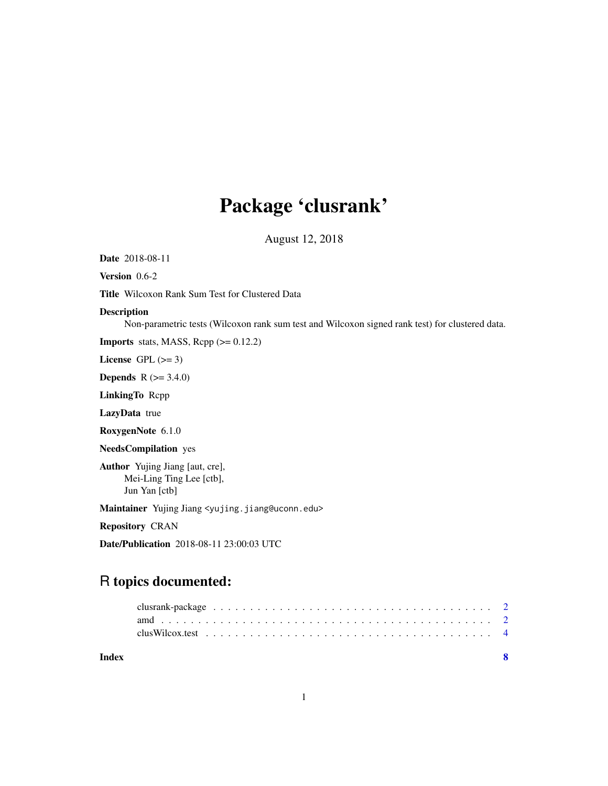## Package 'clusrank'

August 12, 2018

Date 2018-08-11

Version 0.6-2

Title Wilcoxon Rank Sum Test for Clustered Data

#### Description

Non-parametric tests (Wilcoxon rank sum test and Wilcoxon signed rank test) for clustered data.

**Imports** stats, MASS, Rcpp  $(>= 0.12.2)$ 

License GPL  $(>= 3)$ 

**Depends** R  $(>= 3.4.0)$ 

LinkingTo Rcpp

LazyData true

RoxygenNote 6.1.0

NeedsCompilation yes

Author Yujing Jiang [aut, cre], Mei-Ling Ting Lee [ctb], Jun Yan [ctb]

Maintainer Yujing Jiang <yujing.jiang@uconn.edu>

Repository CRAN

Date/Publication 2018-08-11 23:00:03 UTC

### R topics documented:

| Index |  |
|-------|--|
|       |  |
|       |  |
|       |  |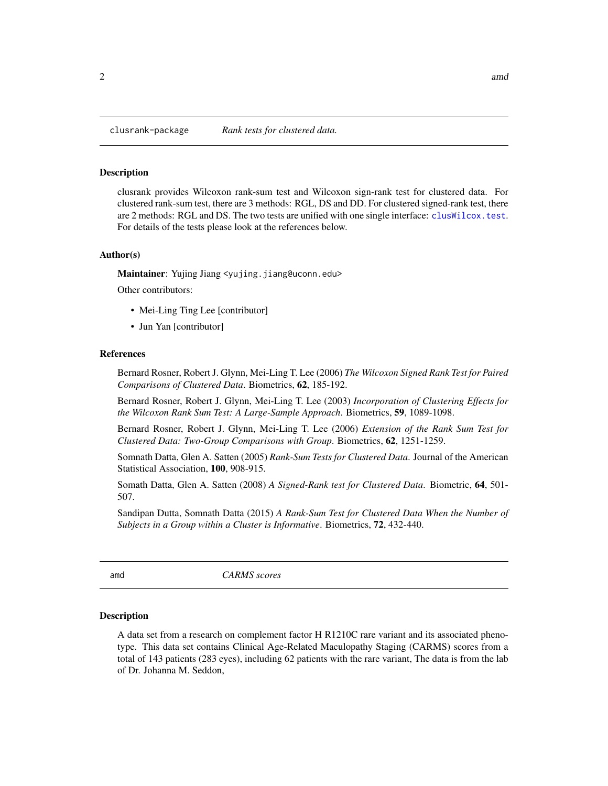<span id="page-1-0"></span>

#### Description

clusrank provides Wilcoxon rank-sum test and Wilcoxon sign-rank test for clustered data. For clustered rank-sum test, there are 3 methods: RGL, DS and DD. For clustered signed-rank test, there are 2 methods: RGL and DS. The two tests are unified with one single interface: [clusWilcox.test](#page-3-1). For details of the tests please look at the references below.

#### Author(s)

Maintainer: Yujing Jiang <yujing.jiang@uconn.edu>

Other contributors:

- Mei-Ling Ting Lee [contributor]
- Jun Yan [contributor]

#### References

Bernard Rosner, Robert J. Glynn, Mei-Ling T. Lee (2006) *The Wilcoxon Signed Rank Test for Paired Comparisons of Clustered Data*. Biometrics, 62, 185-192.

Bernard Rosner, Robert J. Glynn, Mei-Ling T. Lee (2003) *Incorporation of Clustering Effects for the Wilcoxon Rank Sum Test: A Large-Sample Approach*. Biometrics, 59, 1089-1098.

Bernard Rosner, Robert J. Glynn, Mei-Ling T. Lee (2006) *Extension of the Rank Sum Test for Clustered Data: Two-Group Comparisons with Group*. Biometrics, 62, 1251-1259.

Somnath Datta, Glen A. Satten (2005) *Rank-Sum Tests for Clustered Data*. Journal of the American Statistical Association, 100, 908-915.

Somath Datta, Glen A. Satten (2008) *A Signed-Rank test for Clustered Data*. Biometric, 64, 501- 507.

Sandipan Dutta, Somnath Datta (2015) *A Rank-Sum Test for Clustered Data When the Number of Subjects in a Group within a Cluster is Informative*. Biometrics, 72, 432-440.

amd *CARMS scores*

#### **Description**

A data set from a research on complement factor H R1210C rare variant and its associated phenotype. This data set contains Clinical Age-Related Maculopathy Staging (CARMS) scores from a total of 143 patients (283 eyes), including 62 patients with the rare variant, The data is from the lab of Dr. Johanna M. Seddon,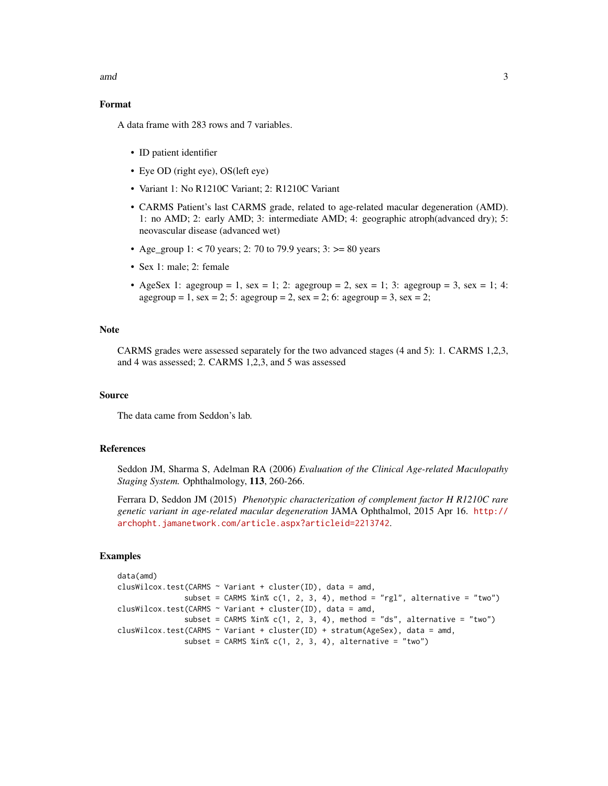amd 3

#### Format

A data frame with 283 rows and 7 variables.

- ID patient identifier
- Eye OD (right eye), OS(left eye)
- Variant 1: No R1210C Variant; 2: R1210C Variant
- CARMS Patient's last CARMS grade, related to age-related macular degeneration (AMD). 1: no AMD; 2: early AMD; 3: intermediate AMD; 4: geographic atroph(advanced dry); 5: neovascular disease (advanced wet)
- Age\_group 1: < 70 years; 2: 70 to 79.9 years; 3:  $> = 80$  years
- Sex 1: male; 2: female
- AgeSex 1: agegroup = 1, sex = 1; 2: agegroup = 2, sex = 1; 3: agegroup = 3, sex = 1; 4:  $a$ gegroup = 1, sex = 2; 5:  $a$ gegroup = 2, sex = 2; 6:  $a$ gegroup = 3, sex = 2;

#### **Note**

CARMS grades were assessed separately for the two advanced stages (4 and 5): 1. CARMS 1,2,3, and 4 was assessed; 2. CARMS 1,2,3, and 5 was assessed

#### Source

The data came from Seddon's lab.

#### References

Seddon JM, Sharma S, Adelman RA (2006) *Evaluation of the Clinical Age-related Maculopathy Staging System.* Ophthalmology, 113, 260-266.

Ferrara D, Seddon JM (2015) *Phenotypic characterization of complement factor H R1210C rare genetic variant in age-related macular degeneration* JAMA Ophthalmol, 2015 Apr 16. [http://](http://archopht.jamanetwork.com/article.aspx?articleid=2213742) [archopht.jamanetwork.com/article.aspx?articleid=2213742](http://archopht.jamanetwork.com/article.aspx?articleid=2213742).

#### Examples

```
data(amd)
clusWilcox.test(CARMS \sim Variant + cluster(ID), data = amd,
               subset = CARMS %in% c(1, 2, 3, 4), method = "rgl", alternative = "two")
clusWilcox.test(CARMS \sim Variant + cluster(ID), data = amd,
               subset = CARMS %in% c(1, 2, 3, 4), method = "ds", alternative = "two")
clusWilcox.test(CARMS ~ Variant + cluster(ID) + stratum(AgeSex), data = amd,
               subset = CARNS %in% c(1, 2, 3, 4), alternative = "two")
```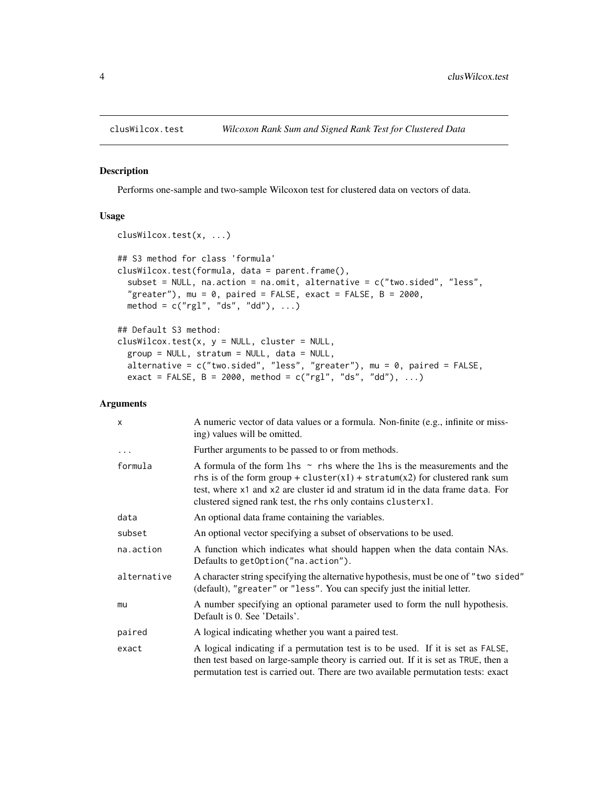<span id="page-3-1"></span><span id="page-3-0"></span>

#### Description

Performs one-sample and two-sample Wilcoxon test for clustered data on vectors of data.

#### Usage

```
clusWilcox.test(x, ...)
## S3 method for class 'formula'
clusWilcox.test(formula, data = parent.frame(),
  subset = NULL, na.action = na.omit, alternative = c("two.sided", "less",
  "greater"), mu = 0, paired = FALSE, exact = FALSE, B = 2000,
 method = c("rgl", "ds", "dd"), ...## Default S3 method:
clusWilcox.test(x, y = NULL, cluster = NULL,group = NULL, stratum = NULL, data = NULL,
 alternative = c("two-sided", "less", "greater"), mu = 0, paired = FALSE,
```
exact = FALSE,  $B = 2000$ , method = c("rgl", "ds", "dd"), ...)

#### Arguments

| $\mathsf{x}$ | A numeric vector of data values or a formula. Non-finite (e.g., infinite or miss-<br>ing) values will be omitted.                                                                                                                                                                                                   |
|--------------|---------------------------------------------------------------------------------------------------------------------------------------------------------------------------------------------------------------------------------------------------------------------------------------------------------------------|
| $\cdots$     | Further arguments to be passed to or from methods.                                                                                                                                                                                                                                                                  |
| formula      | A formula of the form 1 hs $\sim$ rhs where the 1 hs is the measurements and the<br>rhs is of the form group + cluster(x1) + stratum(x2) for clustered rank sum<br>test, where x1 and x2 are cluster id and stratum id in the data frame data. For<br>clustered signed rank test, the rhs only contains cluster x1. |
| data         | An optional data frame containing the variables.                                                                                                                                                                                                                                                                    |
| subset       | An optional vector specifying a subset of observations to be used.                                                                                                                                                                                                                                                  |
| na.action    | A function which indicates what should happen when the data contain NAs.<br>Defaults to getOption("na.action").                                                                                                                                                                                                     |
| alternative  | A character string specifying the alternative hypothesis, must be one of "two sided"<br>(default), "greater" or "less". You can specify just the initial letter.                                                                                                                                                    |
| mu           | A number specifying an optional parameter used to form the null hypothesis.<br>Default is 0. See 'Details'.                                                                                                                                                                                                         |
| paired       | A logical indicating whether you want a paired test.                                                                                                                                                                                                                                                                |
| exact        | A logical indicating if a permutation test is to be used. If it is set as FALSE,<br>then test based on large-sample theory is carried out. If it is set as TRUE, then a<br>permutation test is carried out. There are two available permutation tests: exact                                                        |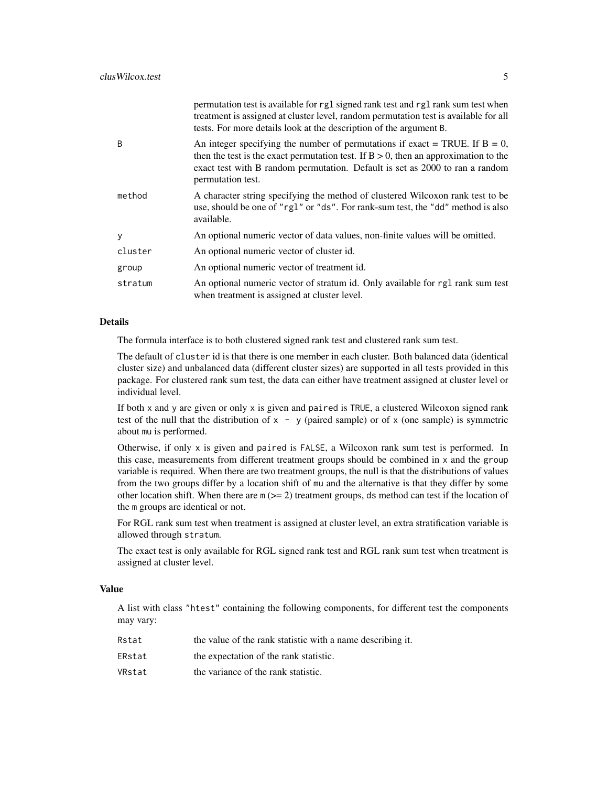|         | permutation test is available for rg1 signed rank test and rg1 rank sum test when<br>treatment is assigned at cluster level, random permutation test is available for all<br>tests. For more details look at the description of the argument B.                               |
|---------|-------------------------------------------------------------------------------------------------------------------------------------------------------------------------------------------------------------------------------------------------------------------------------|
| B       | An integer specifying the number of permutations if exact = TRUE. If $B = 0$ ,<br>then the test is the exact permutation test. If $B > 0$ , then an approximation to the<br>exact test with B random permutation. Default is set as 2000 to ran a random<br>permutation test. |
| method  | A character string specifying the method of clustered Wilcoxon rank test to be<br>use, should be one of "rg1" or "ds". For rank-sum test, the "dd" method is also<br>available.                                                                                               |
| у       | An optional numeric vector of data values, non-finite values will be omitted.                                                                                                                                                                                                 |
| cluster | An optional numeric vector of cluster id.                                                                                                                                                                                                                                     |
| group   | An optional numeric vector of treatment id.                                                                                                                                                                                                                                   |
| stratum | An optional numeric vector of stratum id. Only available for rg1 rank sum test<br>when treatment is assigned at cluster level.                                                                                                                                                |
|         |                                                                                                                                                                                                                                                                               |

#### Details

The formula interface is to both clustered signed rank test and clustered rank sum test.

The default of cluster id is that there is one member in each cluster. Both balanced data (identical cluster size) and unbalanced data (different cluster sizes) are supported in all tests provided in this package. For clustered rank sum test, the data can either have treatment assigned at cluster level or individual level.

If both x and y are given or only x is given and paired is TRUE, a clustered Wilcoxon signed rank test of the null that the distribution of  $x - y$  (paired sample) or of x (one sample) is symmetric about mu is performed.

Otherwise, if only  $x$  is given and paired is FALSE, a Wilcoxon rank sum test is performed. In this case, measurements from different treatment groups should be combined in x and the group variable is required. When there are two treatment groups, the null is that the distributions of values from the two groups differ by a location shift of mu and the alternative is that they differ by some other location shift. When there are  $m \, (= 2)$  treatment groups, ds method can test if the location of the m groups are identical or not.

For RGL rank sum test when treatment is assigned at cluster level, an extra stratification variable is allowed through stratum.

The exact test is only available for RGL signed rank test and RGL rank sum test when treatment is assigned at cluster level.

#### Value

A list with class "htest" containing the following components, for different test the components may vary:

| Rstat  | the value of the rank statistic with a name describing it. |
|--------|------------------------------------------------------------|
| ERstat | the expectation of the rank statistic.                     |
| VRstat | the variance of the rank statistic.                        |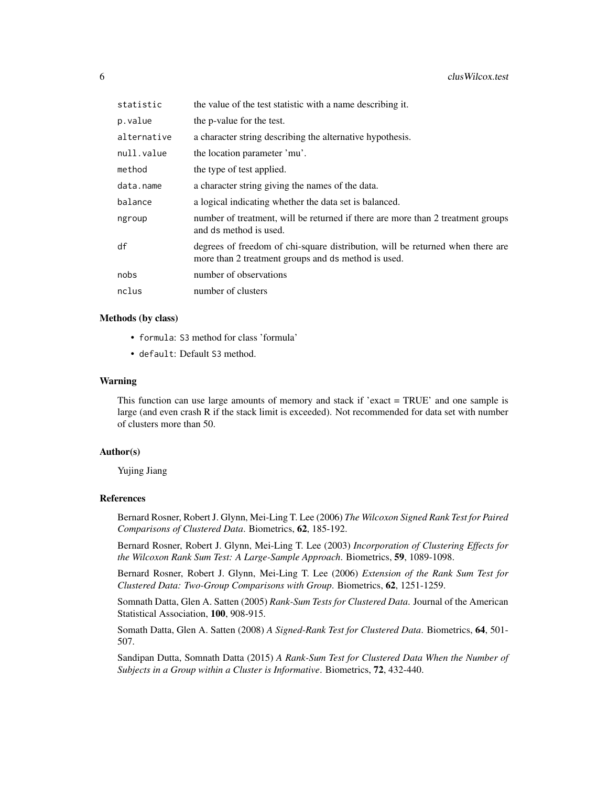| statistic   | the value of the test statistic with a name describing it.                                                                            |
|-------------|---------------------------------------------------------------------------------------------------------------------------------------|
| p.value     | the p-value for the test.                                                                                                             |
| alternative | a character string describing the alternative hypothesis.                                                                             |
| null.value  | the location parameter 'mu'.                                                                                                          |
| method      | the type of test applied.                                                                                                             |
| data.name   | a character string giving the names of the data.                                                                                      |
| balance     | a logical indicating whether the data set is balanced.                                                                                |
| ngroup      | number of treatment, will be returned if there are more than 2 treatment groups<br>and ds method is used.                             |
| df          | degrees of freedom of chi-square distribution, will be returned when there are<br>more than 2 treatment groups and ds method is used. |
| nobs        | number of observations                                                                                                                |
| nclus       | number of clusters                                                                                                                    |

#### Methods (by class)

- formula: S3 method for class 'formula'
- default: Default S3 method.

#### Warning

This function can use large amounts of memory and stack if 'exact = TRUE' and one sample is large (and even crash R if the stack limit is exceeded). Not recommended for data set with number of clusters more than 50.

#### Author(s)

Yujing Jiang

#### References

Bernard Rosner, Robert J. Glynn, Mei-Ling T. Lee (2006) *The Wilcoxon Signed Rank Test for Paired Comparisons of Clustered Data*. Biometrics, 62, 185-192.

Bernard Rosner, Robert J. Glynn, Mei-Ling T. Lee (2003) *Incorporation of Clustering Effects for the Wilcoxon Rank Sum Test: A Large-Sample Approach*. Biometrics, 59, 1089-1098.

Bernard Rosner, Robert J. Glynn, Mei-Ling T. Lee (2006) *Extension of the Rank Sum Test for Clustered Data: Two-Group Comparisons with Group*. Biometrics, 62, 1251-1259.

Somnath Datta, Glen A. Satten (2005) *Rank-Sum Tests for Clustered Data*. Journal of the American Statistical Association, 100, 908-915.

Somath Datta, Glen A. Satten (2008) *A Signed-Rank Test for Clustered Data*. Biometrics, 64, 501- 507.

Sandipan Dutta, Somnath Datta (2015) *A Rank-Sum Test for Clustered Data When the Number of Subjects in a Group within a Cluster is Informative*. Biometrics, 72, 432-440.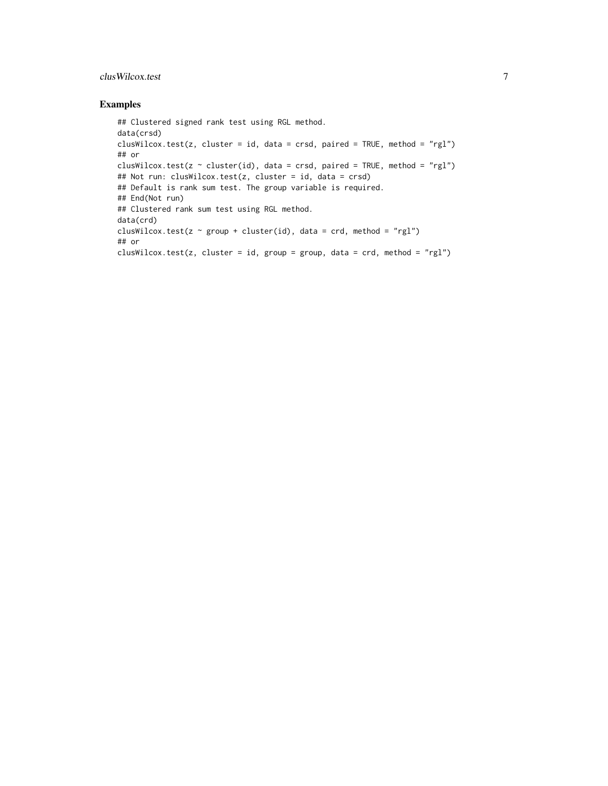#### clusWilcox.test 7

#### Examples

```
## Clustered signed rank test using RGL method.
data(crsd)
clusWilcox.test(z, cluster = id, data = crsd, paired = TRUE, method = "rgl")
## or
clusWilcox.test(z \sim cluster(id), data = crsd, paired = TRUE, method = "rgl")
## Not run: clusWilcox.test(z, cluster = id, data = crsd)
## Default is rank sum test. The group variable is required.
## End(Not run)
## Clustered rank sum test using RGL method.
data(crd)
clusWilcox.test(z \sim group + cluster(id), data = crd, method = "rgl")
## or
clusWilcox.test(z, cluster = id, group = group, data = crd, method = "rgl")
```